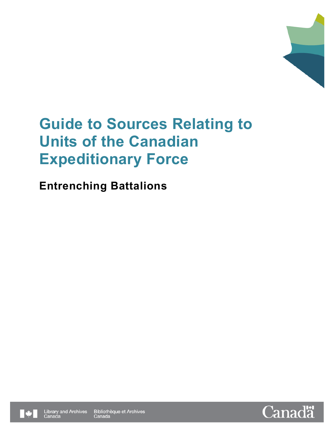

# **Entrenching Battalions**



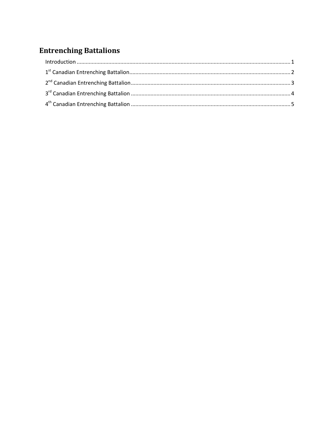## **Entrenching Battalions**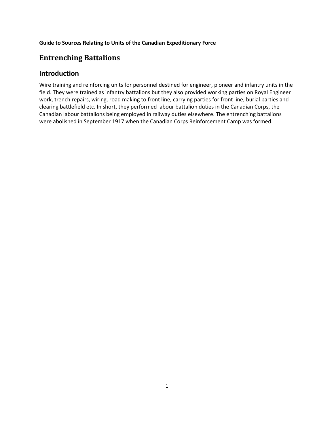### <span id="page-2-0"></span>**Entrenching Battalions**

### **Introduction**

Wire training and reinforcing units for personnel destined for engineer, pioneer and infantry units in the field. They were trained as infantry battalions but they also provided working parties on Royal Engineer work, trench repairs, wiring, road making to front line, carrying parties for front line, burial parties and clearing battlefield etc. In short, they performed labour battalion duties in the Canadian Corps, the Canadian labour battalions being employed in railway duties elsewhere. The entrenching battalions were abolished in September 1917 when the Canadian Corps Reinforcement Camp was formed.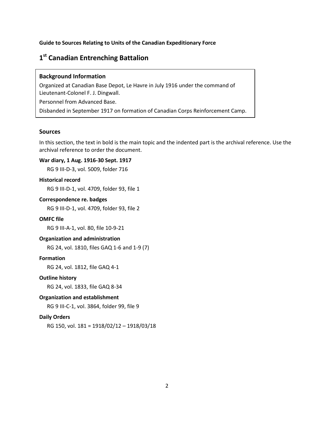### <span id="page-3-0"></span>**1st Canadian Entrenching Battalion**

### **Background Information**

Organized at Canadian Base Depot, Le Havre in July 1916 under the command of Lieutenant-Colonel F. J. Dingwall.

Personnel from Advanced Base.

Disbanded in September 1917 on formation of Canadian Corps Reinforcement Camp.

### **Sources**

In this section, the text in bold is the main topic and the indented part is the archival reference. Use the archival reference to order the document.

### **War diary, 1 Aug. 1916-30 Sept. 1917**

RG 9 III-D-3, vol. 5009, folder 716

### **Historical record**

RG 9 III-D-1, vol. 4709, folder 93, file 1

### **Correspondence re. badges**

RG 9 III-D-1, vol. 4709, folder 93, file 2

### **OMFC file**

RG 9 III-A-1, vol. 80, file 10-9-21

### **Organization and administration**

RG 24, vol. 1810, files GAQ 1-6 and 1-9 (7)

### **Formation**

RG 24, vol. 1812, file GAQ 4-1

#### **Outline history**

RG 24, vol. 1833, file GAQ 8-34

### **Organization and establishment**

RG 9 III-C-1, vol. 3864, folder 99, file 9

### **Daily Orders**

RG 150, vol. 181 = 1918/02/12 – 1918/03/18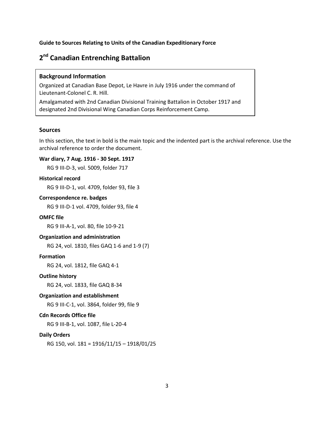### <span id="page-4-0"></span>**2nd Canadian Entrenching Battalion**

### **Background Information**

Organized at Canadian Base Depot, Le Havre in July 1916 under the command of Lieutenant-Colonel C. R. Hill.

Amalgamated with 2nd Canadian Divisional Training Battalion in October 1917 and designated 2nd Divisional Wing Canadian Corps Reinforcement Camp.

### **Sources**

In this section, the text in bold is the main topic and the indented part is the archival reference. Use the archival reference to order the document.

### **War diary, 7 Aug. 1916 - 30 Sept. 1917**

RG 9 III-D-3, vol. 5009, folder 717

### **Historical record**

RG 9 III-D-1, vol. 4709, folder 93, file 3

### **Correspondence re. badges**

RG 9 III-D-1 vol. 4709, folder 93, file 4

### **OMFC file**

RG 9 III-A-1, vol. 80, file 10-9-21

### **Organization and administration**

RG 24, vol. 1810, files GAQ 1-6 and 1-9 (7)

### **Formation**

RG 24, vol. 1812, file GAQ 4-1

### **Outline history**

RG 24, vol. 1833, file GAQ 8-34

### **Organization and establishment**

RG 9 III-C-1, vol. 3864, folder 99, file 9

### **Cdn Records Office file**

RG 9 III-B-1, vol. 1087, file L-20-4

### **Daily Orders**

RG 150, vol. 181 = 1916/11/15 – 1918/01/25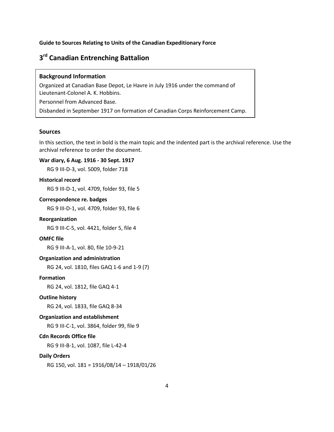### <span id="page-5-0"></span>**3rd Canadian Entrenching Battalion**

### **Background Information**

Organized at Canadian Base Depot, Le Havre in July 1916 under the command of Lieutenant-Colonel A. K. Hobbins.

Personnel from Advanced Base.

Disbanded in September 1917 on formation of Canadian Corps Reinforcement Camp.

### **Sources**

In this section, the text in bold is the main topic and the indented part is the archival reference. Use the archival reference to order the document.

### **War diary, 6 Aug. 1916 - 30 Sept. 1917**

RG 9 III-D-3, vol. 5009, folder 718

### **Historical record**

RG 9 III-D-1, vol. 4709, folder 93, file 5

### **Correspondence re. badges**

RG 9 III-D-1, vol. 4709, folder 93, file 6

### **Reorganization**

RG 9 III-C-5, vol. 4421, folder 5, file 4

### **OMFC file**

RG 9 III-A-1, vol. 80, file 10-9-21

### **Organization and administration**

RG 24, vol. 1810, files GAQ 1-6 and 1-9 (7)

#### **Formation**

RG 24, vol. 1812, file GAQ 4-1

#### **Outline history**

RG 24, vol. 1833, file GAQ 8-34

#### **Organization and establishment**

RG 9 III-C-1, vol. 3864, folder 99, file 9

### **Cdn Records Office file**

RG 9 III-B-1, vol. 1087, file L-42-4

#### **Daily Orders**

RG 150, vol. 181 = 1916/08/14 – 1918/01/26